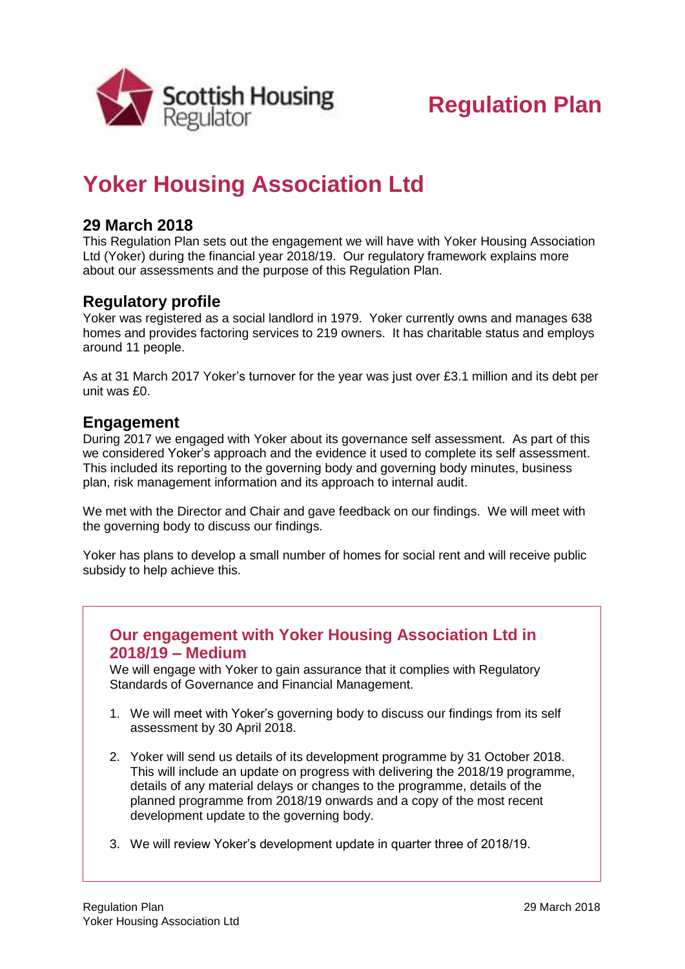

# **Regulation Plan**

## **Yoker Housing Association Ltd**

### **29 March 2018**

This Regulation Plan sets out the engagement we will have with Yoker Housing Association Ltd (Yoker) during the financial year 2018/19. Our regulatory framework explains more about our assessments and the purpose of this Regulation Plan.

#### **Regulatory profile**

Yoker was registered as a social landlord in 1979. Yoker currently owns and manages 638 homes and provides factoring services to 219 owners. It has charitable status and employs around 11 people.

As at 31 March 2017 Yoker's turnover for the year was just over £3.1 million and its debt per unit was £0.

#### **Engagement**

During 2017 we engaged with Yoker about its governance self assessment. As part of this we considered Yoker's approach and the evidence it used to complete its self assessment. This included its reporting to the governing body and governing body minutes, business plan, risk management information and its approach to internal audit.

We met with the Director and Chair and gave feedback on our findings. We will meet with the governing body to discuss our findings.

Yoker has plans to develop a small number of homes for social rent and will receive public subsidy to help achieve this.

#### **Our engagement with Yoker Housing Association Ltd in 2018/19 – Medium**

We will engage with Yoker to gain assurance that it complies with Regulatory Standards of Governance and Financial Management.

- 1. We will meet with Yoker's governing body to discuss our findings from its self assessment by 30 April 2018.
- 2. Yoker will send us details of its development programme by 31 October 2018. This will include an update on progress with delivering the 2018/19 programme, details of any material delays or changes to the programme, details of the planned programme from 2018/19 onwards and a copy of the most recent development update to the governing body.
- 3. We will review Yoker's development update in quarter three of 2018/19.